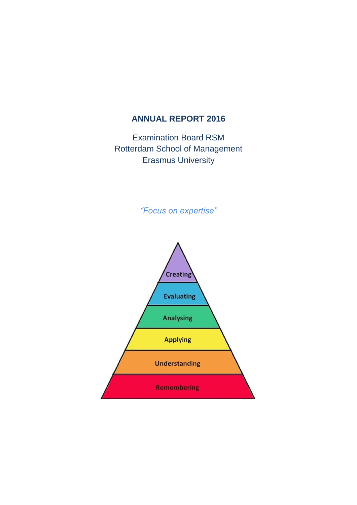# **ANNUAL REPORT 2016**

Examination Board RSM Rotterdam School of Management Erasmus University

*"Focus on expertise"*

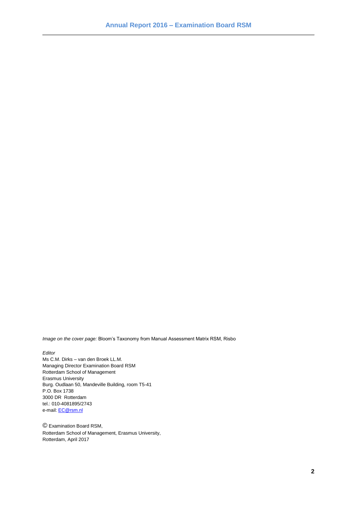*Image on the cover page:* Bloom's Taxonomy from Manual Assessment Matrix RSM, Risbo

#### *Editor*

Ms C.M. Dirks – van den Broek LL.M. Managing Director Examination Board RSM Rotterdam School of Management Erasmus University Burg. Oudlaan 50, Mandeville Building, room T5-41 P.O. Box 1738 3000 DR Rotterdam tel.: 010-4081895/2743 e-mail[: EC@rsm.nl](mailto:EC@rsm.nl)

© Examination Board RSM, Rotterdam School of Management, Erasmus University, Rotterdam, April 2017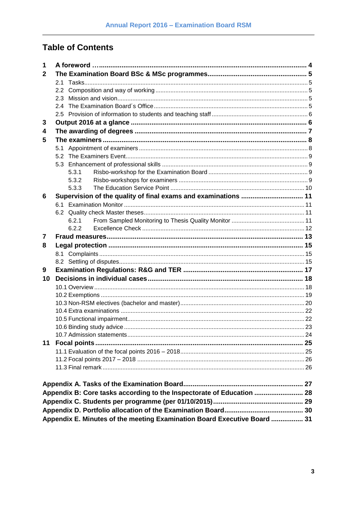# **Table of Contents**

| 1  |     |                                                                          |  |
|----|-----|--------------------------------------------------------------------------|--|
| 2  |     |                                                                          |  |
|    | 2.1 |                                                                          |  |
|    |     |                                                                          |  |
|    | 2.3 |                                                                          |  |
|    | 2.4 |                                                                          |  |
|    |     |                                                                          |  |
| 3  |     |                                                                          |  |
| 4  |     |                                                                          |  |
| 5  |     |                                                                          |  |
|    |     |                                                                          |  |
|    | 5.2 |                                                                          |  |
|    |     |                                                                          |  |
|    |     | 5.3.1                                                                    |  |
|    |     | 5.3.2                                                                    |  |
|    |     | 5.3.3                                                                    |  |
| 6  |     | Supervision of the quality of final exams and examinations  11           |  |
|    | 6.1 |                                                                          |  |
|    |     |                                                                          |  |
|    |     | 6.2.1                                                                    |  |
|    |     | 6.2.2                                                                    |  |
| 7  |     |                                                                          |  |
| 8  |     |                                                                          |  |
|    |     |                                                                          |  |
|    |     |                                                                          |  |
| 9  |     |                                                                          |  |
| 10 |     |                                                                          |  |
|    |     |                                                                          |  |
|    |     |                                                                          |  |
|    |     |                                                                          |  |
|    |     |                                                                          |  |
|    |     |                                                                          |  |
|    |     |                                                                          |  |
|    |     |                                                                          |  |
| 11 |     |                                                                          |  |
|    |     |                                                                          |  |
|    |     |                                                                          |  |
|    |     |                                                                          |  |
|    |     |                                                                          |  |
|    |     |                                                                          |  |
|    |     | Appendix B: Core tasks according to the Inspectorate of Education  28    |  |
|    |     |                                                                          |  |
|    |     |                                                                          |  |
|    |     | Appendix E. Minutes of the meeting Examination Board Executive Board  31 |  |
|    |     |                                                                          |  |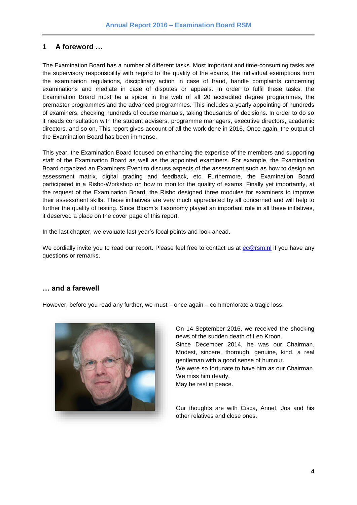# <span id="page-3-0"></span>**1 A foreword …**

The Examination Board has a number of different tasks. Most important and time-consuming tasks are the supervisory responsibility with regard to the quality of the exams, the individual exemptions from the examination regulations, disciplinary action in case of fraud, handle complaints concerning examinations and mediate in case of disputes or appeals. In order to fulfil these tasks, the Examination Board must be a spider in the web of all 20 accredited degree programmes, the premaster programmes and the advanced programmes. This includes a yearly appointing of hundreds of examiners, checking hundreds of course manuals, taking thousands of decisions. In order to do so it needs consultation with the student advisers, programme managers, executive directors, academic directors, and so on. This report gives account of all the work done in 2016. Once again, the output of the Examination Board has been immense.

This year, the Examination Board focused on enhancing the expertise of the members and supporting staff of the Examination Board as well as the appointed examiners. For example, the Examination Board organized an Examiners Event to discuss aspects of the assessment such as how to design an assessment matrix, digital grading and feedback, etc. Furthermore, the Examination Board participated in a Risbo-Workshop on how to monitor the quality of exams. Finally yet importantly, at the request of the Examination Board, the Risbo designed three modules for examiners to improve their assessment skills. These initiatives are very much appreciated by all concerned and will help to further the quality of testing. Since Bloom's Taxonomy played an important role in all these initiatives, it deserved a place on the cover page of this report.

In the last chapter, we evaluate last year's focal points and look ahead.

We cordially invite you to read our report. Please feel free to contact us at [ec@rsm.nl](mailto:ec@rsm.nl) if you have any questions or remarks.

## **… and a farewell**

However, before you read any further, we must – once again – commemorate a tragic loss.



On 14 September 2016, we received the shocking news of the sudden death of Leo Kroon. Since December 2014, he was our Chairman. Modest, sincere, thorough, genuine, kind, a real gentleman with a good sense of humour. We were so fortunate to have him as our Chairman. We miss him dearly.

May he rest in peace.

Our thoughts are with Cisca, Annet, Jos and his other relatives and close ones.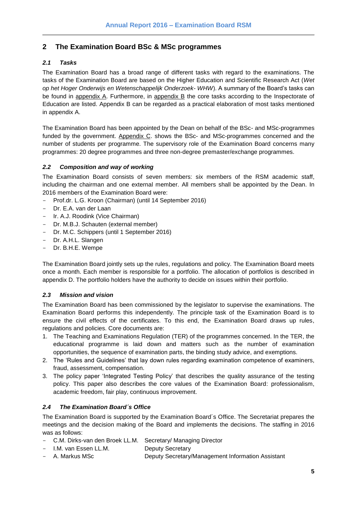# <span id="page-4-0"></span>**2 The Examination Board BSc & MSc programmes**

## <span id="page-4-1"></span>*2.1 Tasks*

The Examination Board has a broad range of different tasks with regard to the examinations. The tasks of the Examination Board are based on the Higher Education and Scientific Research Act (*Wet op het Hoger Onderwijs en Wetenschappelijk Onderzoek- WHW*). A summary of the Board's tasks can be found in appendix A. Furthermore, in appendix B the core tasks according to the Inspectorate of Education are listed. Appendix B can be regarded as a practical elaboration of most tasks mentioned in appendix A.

The Examination Board has been appointed by the Dean on behalf of the BSc- and MSc-programmes funded by the government. Appendix C. shows the BSc- and MSc-programmes concerned and the number of students per programme. The supervisory role of the Examination Board concerns many programmes: 20 degree programmes and three non-degree premaster/exchange programmes.

## <span id="page-4-2"></span>*2.2 Composition and way of working*

The Examination Board consists of seven members: six members of the RSM academic staff, including the chairman and one external member. All members shall be appointed by the Dean. In 2016 members of the Examination Board were:

- Prof.dr. L.G. Kroon (Chairman) (until 14 September 2016)
- Dr. E.A. van der Laan
- Ir. A.J. Roodink (Vice Chairman)
- Dr. M.B.J. Schauten (external member)
- Dr. M.C. Schippers (until 1 September 2016)
- Dr. A.H.L. Slangen
- Dr. B.H.E. Wempe

The Examination Board jointly sets up the rules, regulations and policy. The Examination Board meets once a month. Each member is responsible for a portfolio. The allocation of portfolios is described in appendix D. The portfolio holders have the authority to decide on issues within their portfolio.

#### <span id="page-4-3"></span>*2.3 Mission and vision*

The Examination Board has been commissioned by the legislator to supervise the examinations. The Examination Board performs this independently. The principle task of the Examination Board is to ensure the civil effects of the certificates. To this end, the Examination Board draws up rules, regulations and policies. Core documents are:

- 1. The Teaching and Examinations Regulation (TER) of the programmes concerned. In the TER, the educational programme is laid down and matters such as the number of examination opportunities, the sequence of examination parts, the binding study advice, and exemptions.
- 2. The 'Rules and Guidelines' that lay down rules regarding examination competence of examiners, fraud, assessment, compensation.
- 3. The policy paper 'Integrated Testing Policy' that describes the quality assurance of the testing policy. This paper also describes the core values of the Examination Board: professionalism, academic freedom, fair play, continuous improvement.

## <span id="page-4-4"></span>*2.4 The Examination Board´s Office*

The Examination Board is supported by the Examination Board´s Office. The Secretariat prepares the meetings and the decision making of the Board and implements the decisions. The staffing in 2016 was as follows:

- C.M. Dirks-van den Broek LL.M. Secretary/ Managing Director
- I.M. van Essen LL.M. Deputy Secretary
- A. Markus MSc Deputy Secretary/Management Information Assistant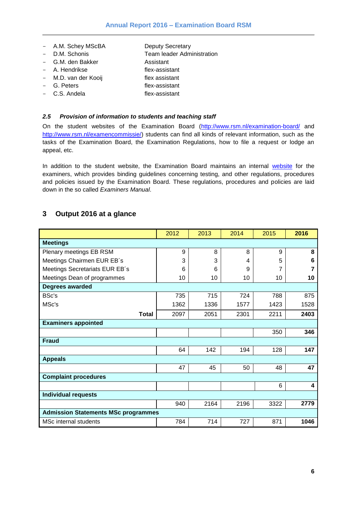- A.M. Schey MScBA Deputy Secretary
	-
- D.M. Schonis<br>
 G.M. den Bakker<br>
 G.M. den Bakker<br>
2001 Assistant - G.M. den Bakker
- A. Hendrikse flex-assistant
- M.D. van der Kooij flex assistant
- 
- G. Peters flex-assistant - C.S. Andela flex-assistant

## <span id="page-5-0"></span>*2.5 Provision of information to students and teaching staff*

On the student websites of the Examination Board [\(http://www.rsm.nl/examination-board/](http://www.rsm.nl/examination-board/) and [http://www.rsm.nl/examencommissie/\)](http://www.rsm.nl/examencommissie/) students can find all kinds of relevant information, such as the tasks of the Examination Board, the Examination Regulations, how to file a request or lodge an appeal, etc.

In addition to the student [website](https://intranet.eur.nl/group/rsm/examination-board), the Examination Board maintains an internal website for the examiners, which provides binding guidelines concerning testing, and other regulations, procedures and policies issued by the Examination Board. These regulations, procedures and policies are laid down in the so called *Examiners Manual*.

# <span id="page-5-1"></span>**3 Output 2016 at a glance**

|                                            | 2012 | 2013 | 2014 | 2015 | 2016 |  |  |
|--------------------------------------------|------|------|------|------|------|--|--|
| <b>Meetings</b>                            |      |      |      |      |      |  |  |
| Plenary meetings EB RSM                    | 9    | 8    | 8    | 9    | 8    |  |  |
| Meetings Chairmen EUR EB's                 | 3    | 3    | 4    | 5    | 6    |  |  |
| Meetings Secretariats EUR EB's             | 6    | 6    | 9    | 7    |      |  |  |
| Meetings Dean of programmes                | 10   | 10   | 10   | 10   | 10   |  |  |
| Degrees awarded                            |      |      |      |      |      |  |  |
| <b>BSc's</b>                               | 735  | 715  | 724  | 788  | 875  |  |  |
| MSc's                                      | 1362 | 1336 | 1577 | 1423 | 1528 |  |  |
| <b>Total</b>                               | 2097 | 2051 | 2301 | 2211 | 2403 |  |  |
| <b>Examiners appointed</b>                 |      |      |      |      |      |  |  |
|                                            |      |      |      | 350  | 346  |  |  |
| <b>Fraud</b>                               |      |      |      |      |      |  |  |
|                                            | 64   | 142  | 194  | 128  | 147  |  |  |
| <b>Appeals</b>                             |      |      |      |      |      |  |  |
|                                            | 47   | 45   | 50   | 48   | 47   |  |  |
| <b>Complaint procedures</b>                |      |      |      |      |      |  |  |
|                                            |      |      |      | 6    | 4    |  |  |
| <b>Individual requests</b>                 |      |      |      |      |      |  |  |
|                                            | 940  | 2164 | 2196 | 3322 | 2779 |  |  |
| <b>Admission Statements MSc programmes</b> |      |      |      |      |      |  |  |
| <b>MSc internal students</b>               | 784  | 714  | 727  | 871  | 1046 |  |  |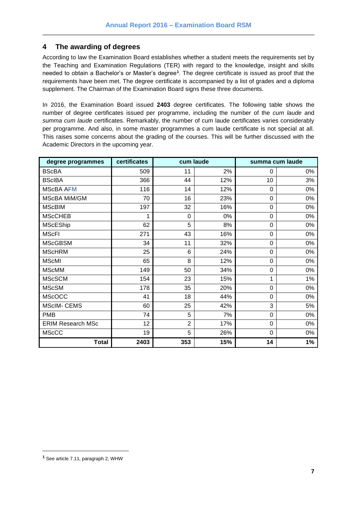## <span id="page-6-0"></span>**4 The awarding of degrees**

According to law the Examination Board establishes whether a student meets the requirements set by the Teaching and Examination Regulations (TER) with regard to the knowledge, insight and skills needed to obtain a Bachelor's or Master's degree**<sup>1</sup>** . The degree certificate is issued as proof that the requirements have been met. The degree certificate is accompanied by a list of grades and a diploma supplement. The Chairman of the Examination Board signs these three documents.

In 2016, the Examination Board issued **2403** degree certificates. The following table shows the number of degree certificates issued per programme, including the number of the *cum laude* and *summa cum laude* certificates. Remarkably, the number of cum laude certificates varies considerably per programme. And also, in some master programmes a cum laude certificate is not special at all. This raises some concerns about the grading of the courses. This will be further discussed with the Academic Directors in the upcoming year.

| degree programmes        | certificates | cum laude      |     | summa cum laude |    |
|--------------------------|--------------|----------------|-----|-----------------|----|
| <b>BScBA</b>             | 509          | 11             | 2%  | 0               | 0% |
| <b>BScIBA</b>            | 366          | 44             | 12% | 10              | 3% |
| <b>MScBA AFM</b>         | 116          | 14             | 12% | 0               | 0% |
| MScBA MiM/GM             | 70           | 16             | 23% | $\overline{0}$  | 0% |
| <b>MScBIM</b>            | 197          | 32             | 16% | 0               | 0% |
| <b>MScCHEB</b>           | 1            | 0              | 0%  | 0               | 0% |
| <b>MScEShip</b>          | 62           | 5              | 8%  | 0               | 0% |
| <b>MScFI</b>             | 271          | 43             | 16% | $\overline{0}$  | 0% |
| <b>MScGBSM</b>           | 34           | 11             | 32% | 0               | 0% |
| <b>MScHRM</b>            | 25           | 6              | 24% | $\overline{0}$  | 0% |
| <b>MScMI</b>             | 65           | 8              | 12% | 0               | 0% |
| <b>MScMM</b>             | 149          | 50             | 34% | 0               | 0% |
| <b>MScSCM</b>            | 154          | 23             | 15% | 1               | 1% |
| <b>MScSM</b>             | 178          | 35             | 20% | 0               | 0% |
| <b>MScOCC</b>            | 41           | 18             | 44% | 0               | 0% |
| <b>MScIM- CEMS</b>       | 60           | 25             | 42% | 3               | 5% |
| <b>PMB</b>               | 74           | 5              | 7%  | 0               | 0% |
| <b>ERIM Research MSc</b> | 12           | $\overline{2}$ | 17% | 0               | 0% |
| <b>MScCC</b>             | 19           | 5              | 26% | 0               | 0% |
| <b>Total</b>             | 2403         | 353            | 15% | 14              | 1% |

l

**<sup>1</sup>** See article 7.11, paragraph 2, WHW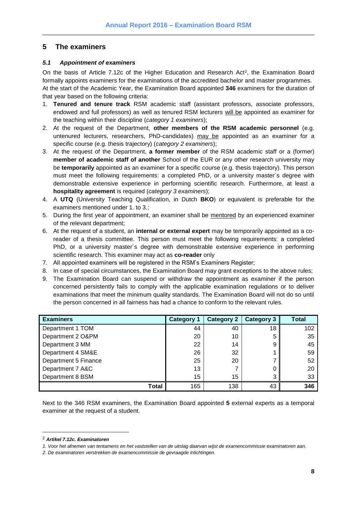# <span id="page-7-0"></span>**5 The examiners**

### <span id="page-7-1"></span>*5.1 Appointment of examiners*

On the basis of Article 7.12c of the Higher Education and Research Act<sup>2</sup>, the Examination Board formally appoints examiners for the examinations of the accredited bachelor and master programmes. At the start of the Academic Year, the Examination Board appointed **346** examiners for the duration of that year based on the following criteria:

- 1. **Tenured and tenure track** RSM academic staff (assistant professors, associate professors, endowed and full professors) as well as tenured RSM lecturers will be appointed as examiner for the teaching within their discipline (*category 1 examiners*);
- 2. At the request of the Department, **other members of the RSM academic personnel** (e.g. untenured lecturers, researchers, PhD-candidates) may be appointed as an examiner for a specific course (e.g. thesis trajectory) (*category 2 examiners*);
- 3. At the request of the Department, **a former member** of the RSM academic staff or a (former) **member of academic staff of another** School of the EUR or any other research university may be **temporarily** appointed as an examiner for a specific course (e.g. thesis trajectory). This person must meet the following requirements: a completed PhD, or a university master´s degree with demonstrable extensive experience in performing scientific research. Furthermore, at least a **hospitality agreement** is required (*category 3 examiners*);
- 4. A **UTQ** (University Teaching Qualification, in Dutch **BKO**) or equivalent is preferable for the examiners mentioned under 1. to 3.;
- 5. During the first year of appointment, an examiner shall be mentored by an experienced examiner of the relevant department;
- 6. At the request of a student, an **internal or external expert** may be temporarily appointed as a coreader of a thesis committee. This person must meet the following requirements: a completed PhD, or a university master´s degree with demonstrable extensive experience in performing scientific research. This examiner may act as **co-reader** only
- 7. All appointed examiners will be registered in the RSM's Examiners Register;
- 8. In case of special circumstances, the Examination Board may grant exceptions to the above rules;
- 9. The Examination Board can suspend or withdraw the appointment as examiner if the person concerned persistently fails to comply with the applicable examination regulations or to deliver examinations that meet the minimum quality standards. The Examination Board will not do so until the person concerned in all fairness has had a chance to conform to the relevant rules.

| <b>Examiners</b>     | <b>Category 1</b> | <b>Category 2</b> | <b>Category 3</b> | <b>Total</b> |
|----------------------|-------------------|-------------------|-------------------|--------------|
| Department 1 TOM     | 44                | 40                | 18                | 102          |
| Department 2 O&PM    | 20                | 10                | 5                 | 35           |
| Department 3 MM      | 22                | 14                | 9                 | 45           |
| Department 4 SM&E    | 26                | 32                |                   | 59           |
| Department 5 Finance | 25                | 20                |                   | 52           |
| Department 7 A&C     | 13                |                   |                   | 20           |
| Department 8 BSM     | 15                | 15                | 3                 | 33           |
| Total                | 165               | 138               | 43                | 346          |

Next to the 346 RSM examiners, the Examination Board appointed **5** external experts as a temporal examiner at the request of a student.

l

<sup>2</sup> *Artikel 7.12c. Examinatoren* 

*<sup>1.</sup> Voor het afnemen van tentamens en het vaststellen van de uitslag daarvan wijst de examencommissie examinatoren aan.* 

*<sup>2.</sup> De examinatoren verstrekken de examencommissie de gevraagde inlichtingen.*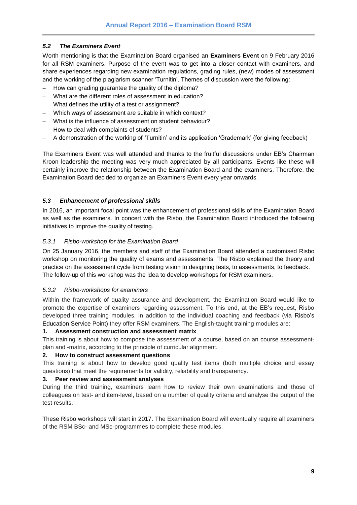## <span id="page-8-0"></span>*5.2 The Examiners Event*

Worth mentioning is that the Examination Board organised an **Examiners Event** on 9 February 2016 for all RSM examiners. Purpose of the event was to get into a closer contact with examiners, and share experiences regarding new examination regulations, grading rules, (new) modes of assessment and the working of the plagiarism scanner 'Turnitin'. Themes of discussion were the following:

- How can grading guarantee the quality of the diploma?
- What are the different roles of assessment in education?
- What defines the utility of a test or assignment?
- Which ways of assessment are suitable in which context?
- What is the influence of assessment on student behaviour?
- How to deal with complaints of students?
- A demonstration of the working of **'**Turnitin**'** and its application 'Grademark' (for giving feedback)

The Examiners Event was well attended and thanks to the fruitful discussions under EB's Chairman Kroon leadership the meeting was very much appreciated by all participants. Events like these will certainly improve the relationship between the Examination Board and the examiners. Therefore, the Examination Board decided to organize an Examiners Event every year onwards.

## <span id="page-8-1"></span>*5.3 Enhancement of professional skills*

In 2016, an important focal point was the enhancement of professional skills of the Examination Board as well as the examiners. In concert with the Risbo, the Examination Board introduced the following initiatives to improve the quality of testing.

#### <span id="page-8-2"></span>*5.3.1 Risbo-workshop for the Examination Board*

On 25 January 2016, the members and staff of the Examination Board attended a customised Risbo workshop on monitoring the quality of exams and assessments. The Risbo explained the theory and practice on the assessment cycle from testing vision to designing tests, to assessments, to feedback. The follow-up of this workshop was the idea to develop workshops for RSM examiners.

#### <span id="page-8-3"></span>*5.3.2 Risbo-workshops for examiners*

Within the framework of quality assurance and development, the Examination Board would like to promote the expertise of examiners regarding assessment. To this end, at the EB's request, Risbo developed three training modules, in addition to the individual coaching and feedback (via Risbo's Education Service Point) they offer RSM examiners. The English-taught training modules are:

#### **1. Assessment construction and assessment matrix**

This training is about how to compose the assessment of a course, based on an course assessmentplan and -matrix, according to the principle of curricular alignment.

#### **2. How to construct assessment questions**

This training is about how to develop good quality test items (both multiple choice and essay questions) that meet the requirements for validity, reliability and transparency.

#### **3. Peer review and assessment analyses**

During the third training, examiners learn how to review their own examinations and those of colleagues on test- and item-level, based on a number of quality criteria and analyse the output of the test results.

These Risbo workshops will start in 2017. The Examination Board will eventually require all examiners of the RSM BSc- and MSc-programmes to complete these modules.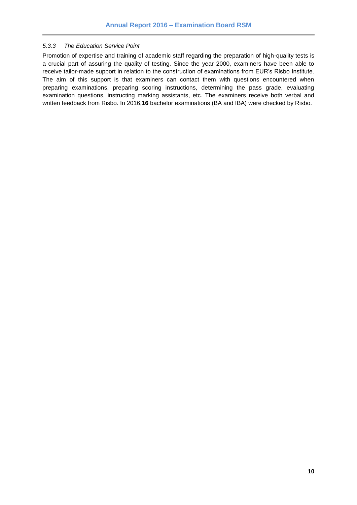#### <span id="page-9-0"></span>*5.3.3 The Education Service Point*

Promotion of expertise and training of academic staff regarding the preparation of high-quality tests is a crucial part of assuring the quality of testing. Since the year 2000, examiners have been able to receive tailor-made support in relation to the construction of examinations from EUR's Risbo Institute. The aim of this support is that examiners can contact them with questions encountered when preparing examinations, preparing scoring instructions, determining the pass grade, evaluating examination questions, instructing marking assistants, etc. The examiners receive both verbal and written feedback from Risbo. In 2016,**16** bachelor examinations (BA and IBA) were checked by Risbo.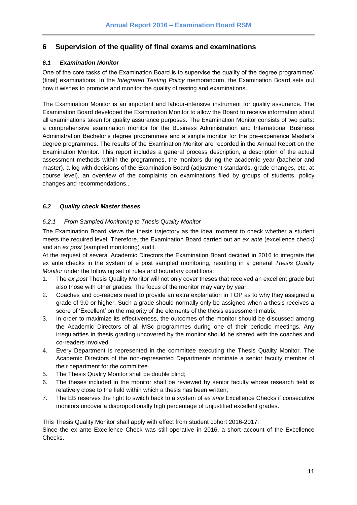# <span id="page-10-0"></span>**6 Supervision of the quality of final exams and examinations**

## <span id="page-10-1"></span>*6.1 Examination Monitor*

One of the core tasks of the Examination Board is to supervise the quality of the degree programmes' (final) examinations. In the *Integrated Testing Policy* memorandum, the Examination Board sets out how it wishes to promote and monitor the quality of testing and examinations.

The Examination Monitor is an important and labour-intensive instrument for quality assurance. The Examination Board developed the Examination Monitor to allow the Board to receive information about all examinations taken for quality assurance purposes. The Examination Monitor consists of two parts: a comprehensive examination monitor for the Business Administration and International Business Administration Bachelor's degree programmes and a simple monitor for the pre-experience Master's degree programmes. The results of the Examination Monitor are recorded in the Annual Report on the Examination Monitor. This report includes a general process description, a description of the actual assessment methods within the programmes, the monitors during the academic year (bachelor and master), a log with decisions of the Examination Board (adjustment standards, grade changes, etc. at course level), an overview of the complaints on examinations filed by groups of students, policy changes and recommendations..

## <span id="page-10-2"></span>*6.2 Quality check Master theses*

## <span id="page-10-3"></span>*6.2.1 From Sampled Monitoring to Thesis Quality Monitor*

The Examination Board views the thesis trajectory as the ideal moment to check whether a student meets the required level. Therefore, the Examination Board carried out an *ex ante* (excellence check*)* and an *ex post* (sampled monitoring) audit.

At the request of several Academic Directors the Examination Board decided in 2016 to integrate the ex ante checks in the system of e post sampled monitoring, resulting in a general *Thesis Quality Monitor* under the following set of rules and boundary conditions:

- 1. The *ex post* Thesis Quality Monitor will not only cover theses that received an excellent grade but also those with other grades. The focus of the monitor may vary by year;
- 2. Coaches and co-readers need to provide an extra explanation in TOP as to why they assigned a grade of 9.0 or higher. Such a grade should normally only be assigned when a thesis receives a score of 'Excellent' on the majority of the elements of the thesis assessment matrix;
- 3. In order to maximize its effectiveness, the outcomes of the monitor should be discussed among the Academic Directors of all MSc programmes during one of their periodic meetings. Any irregularities in thesis grading uncovered by the monitor should be shared with the coaches and co-readers involved.
- 4. Every Department is represented in the committee executing the Thesis Quality Monitor. The Academic Directors of the non-represented Departments nominate a senior faculty member of their department for the committee.
- 5. The Thesis Quality Monitor shall be double blind;
- 6. The theses included in the monitor shall be reviewed by senior faculty whose research field is relatively close to the field within which a thesis has been written;
- 7. The EB reserves the right to switch back to a system of *ex ante* Excellence Checks if consecutive monitors uncover a disproportionally high percentage of unjustified excellent grades.

This Thesis Quality Monitor shall apply with effect from student cohort 2016-2017. Since the ex ante Excellence Check was still operative in 2016, a short account of the Excellence Checks.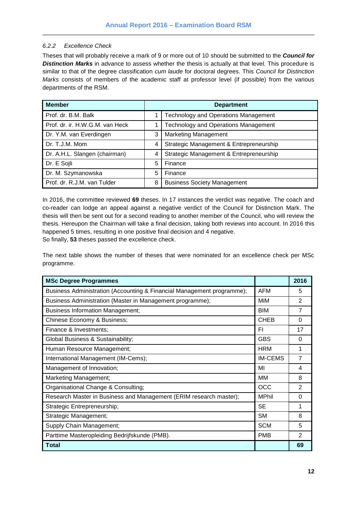## <span id="page-11-0"></span>*6.2.2 Excellence Check*

Theses that will probably receive a mark of 9 or more out of 10 should be submitted to the *Council for Distinction Marks* in advance to assess whether the thesis is actually at that level. This procedure is similar to that of the degree classification *cum laude* for doctoral degrees. This *Council for Distinction Marks* consists of members of the academic staff at professor level (if possible) from the various departments of the RSM.

| <b>Member</b>                   | <b>Department</b> |                                             |  |  |
|---------------------------------|-------------------|---------------------------------------------|--|--|
| Prof. dr. B.M. Balk             |                   | <b>Technology and Operations Management</b> |  |  |
| Prof. dr. ir. H.W.G.M. van Heck |                   | <b>Technology and Operations Management</b> |  |  |
| Dr. Y.M. van Everdingen         | 3                 | <b>Marketing Management</b>                 |  |  |
| Dr. T.J.M. Mom                  | 4                 | Strategic Management & Entrepreneurship     |  |  |
| Dr. A.H.L. Slangen (chairman)   | 4                 | Strategic Management & Entrepreneurship     |  |  |
| Dr. E Sojli                     | 5                 | Finance                                     |  |  |
| Dr. M. Szymanowska              | 5                 | Finance                                     |  |  |
| Prof. dr. R.J.M. van Tulder     | 8                 | <b>Business Society Management</b>          |  |  |

In 2016, the committee reviewed **69** theses. In 17 instances the verdict was negative. The coach and co-reader can lodge an appeal against a negative verdict of the Council for Distinction Mark. The thesis will then be sent out for a second reading to another member of the Council, who will review the thesis. Hereupon the Chairman will take a final decision, taking both reviews into account. In 2016 this happened 5 times, resulting in one positive final decision and 4 negative. So finally, **53** theses passed the excellence check.

The next table shows the number of theses that were nominated for an excellence check per MSc programme.

| <b>MSc Degree Programmes</b>                                           |                | 2016           |
|------------------------------------------------------------------------|----------------|----------------|
| Business Administration (Accounting & Financial Management programme); | <b>AFM</b>     | 5              |
| Business Administration (Master in Management programme);              | MiM            | $\overline{2}$ |
| <b>Business Information Management;</b>                                | <b>BIM</b>     | 7              |
| Chinese Economy & Business;                                            | <b>CHEB</b>    | 0              |
| Finance & Investments;                                                 | FΙ             | 17             |
| Global Business & Sustainability;                                      | <b>GBS</b>     | $\Omega$       |
| Human Resource Management;                                             | <b>HRM</b>     | 1              |
| International Management (IM-Cems);                                    | <b>IM-CEMS</b> | 7              |
| Management of Innovation;                                              | MI             | 4              |
| Marketing Management;                                                  | MМ             | 8              |
| Organisational Change & Consulting;                                    | <b>OCC</b>     | $\overline{2}$ |
| Research Master in Business and Management (ERIM research master);     | <b>MPhil</b>   | 0              |
| Strategic Entrepreneurship;                                            | <b>SE</b>      | 1              |
| Strategic Management;                                                  | <b>SM</b>      | 8              |
| Supply Chain Management;                                               | <b>SCM</b>     | 5              |
| Parttime Masteropleiding Bedrijfskunde (PMB).                          | <b>PMB</b>     | 2              |
| <b>Total</b>                                                           |                | 69             |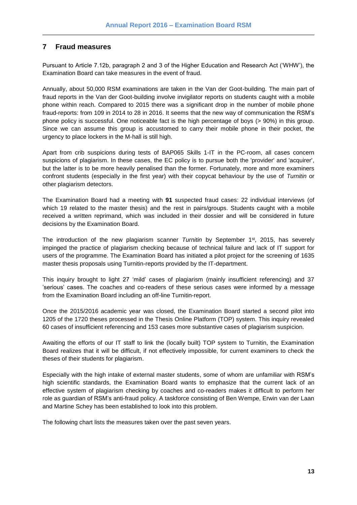## <span id="page-12-0"></span>**7 Fraud measures**

Pursuant to Article 7.12b, paragraph 2 and 3 of the Higher Education and Research Act ('WHW'), the Examination Board can take measures in the event of fraud.

Annually, about 50,000 RSM examinations are taken in the Van der Goot-building. The main part of fraud reports in the Van der Goot-building involve invigilator reports on students caught with a mobile phone within reach. Compared to 2015 there was a significant drop in the number of mobile phone fraud-reports: from 109 in 2014 to 28 in 2016. It seems that the new way of communication the RSM's phone policy is successful. One noticeable fact is the high percentage of boys (> 90%) in this group. Since we can assume this group is accustomed to carry their mobile phone in their pocket, the urgency to place lockers in the M-hall is still high.

Apart from crib suspicions during tests of BAP065 Skills 1-IT in the PC-room, all cases concern suspicions of plagiarism. In these cases, the EC policy is to pursue both the 'provider' and 'acquirer', but the latter is to be more heavily penalised than the former. Fortunately, more and more examiners confront students (especially in the first year) with their copycat behaviour by the use of *Turnitin* or other plagiarism detectors.

The Examination Board had a meeting with **91** suspected fraud cases: 22 individual interviews (of which 19 related to the master thesis) and the rest in pairs/groups. Students caught with a mobile received a written reprimand, which was included in their dossier and will be considered in future decisions by the Examination Board.

The introduction of the new plagiarism scanner *Turnitin* by September 1<sup>st</sup>, 2015, has severely impinged the practice of plagiarism checking because of technical failure and lack of IT support for users of the programme. The Examination Board has initiated a pilot project for the screening of 1635 master thesis proposals using Turnitin-reports provided by the IT-department.

This inquiry brought to light 27 'mild' cases of plagiarism (mainly insufficient referencing) and 37 'serious' cases. The coaches and co-readers of these serious cases were informed by a message from the Examination Board including an off-line Turnitin-report.

Once the 2015/2016 academic year was closed, the Examination Board started a second pilot into 1205 of the 1720 theses processed in the Thesis Online Platform (TOP) system. This inquiry revealed 60 cases of insufficient referencing and 153 cases more substantive cases of plagiarism suspicion.

Awaiting the efforts of our IT staff to link the (locally built) TOP system to Turnitin, the Examination Board realizes that it will be difficult, if not effectively impossible, for current examiners to check the theses of their students for plagiarism.

Especially with the high intake of external master students, some of whom are unfamiliar with RSM's high scientific standards, the Examination Board wants to emphasize that the current lack of an effective system of plagiarism checking by coaches and co-readers makes it difficult to perform her role as guardian of RSM's anti-fraud policy. A taskforce consisting of Ben Wempe, Erwin van der Laan and Martine Schey has been established to look into this problem.

The following chart lists the measures taken over the past seven years.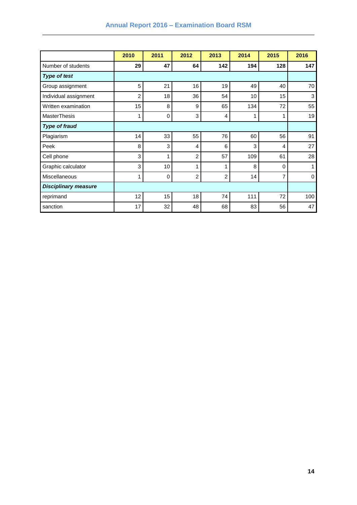|                             | 2010           | 2011        | 2012           | 2013           | 2014 | 2015     | 2016         |
|-----------------------------|----------------|-------------|----------------|----------------|------|----------|--------------|
| Number of students          | 29             | 47          | 64             | 142            | 194  | 128      | 147          |
| <b>Type of test</b>         |                |             |                |                |      |          |              |
| Group assignment            | 5              | 21          | 16             | 19             | 49   | 40       | 70           |
| Individual assignment       | $\overline{2}$ | 18          | 36             | 54             | 10   | 15       | $\mathbf{3}$ |
| Written examination         | 15             | 8           | 9              | 65             | 134  | 72       | 55           |
| <b>MasterThesis</b>         | 1              | $\mathbf 0$ | 3              | 4              | 1    | 1        | 19           |
| <b>Type of fraud</b>        |                |             |                |                |      |          |              |
| Plagiarism                  | 14             | 33          | 55             | 76             | 60   | 56       | 91           |
| Peek                        | 8              | 3           | 4              | 6              | 3    | 4        | 27           |
| Cell phone                  | 3              | 1           | $\overline{2}$ | 57             | 109  | 61       | 28           |
| Graphic calculator          | 3              | 10          | 1              | 1              | 8    | $\Omega$ | 1            |
| Miscellaneous               | $\mathbf 1$    | 0           | $\overline{2}$ | $\overline{2}$ | 14   | 7        | $\mathbf 0$  |
| <b>Disciplinary measure</b> |                |             |                |                |      |          |              |
| reprimand                   | 12             | 15          | 18             | 74             | 111  | 72       | 100          |
| sanction                    | 17             | 32          | 48             | 68             | 83   | 56       | 47           |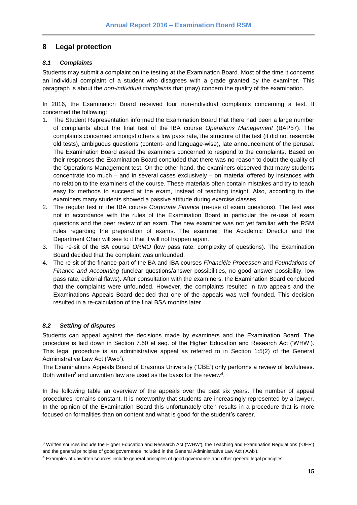# <span id="page-14-0"></span>**8 Legal protection**

## <span id="page-14-1"></span>*8.1 Complaints*

Students may submit a complaint on the testing at the Examination Board. Most of the time it concerns an individual complaint of a student who disagrees with a grade granted by the examiner. This paragraph is about the *non-individual complaints* that (may) concern the quality of the examination.

In 2016, the Examination Board received four non-individual complaints concerning a test. It concerned the following:

- 1. The Student Representation informed the Examination Board that there had been a large number of complaints about the final test of the IBA course *Operations Management* (BAP57). The complaints concerned amongst others a low pass rate, the structure of the test (it did not resemble old tests), ambiguous questions (content- and language-wise), late announcement of the perusal. The Examination Board asked the examiners concerned to respond to the complaints. Based on their responses the Examination Board concluded that there was no reason to doubt the quality of the Operations Management test. On the other hand, the examiners observed that many students concentrate too much – and in several cases exclusively – on material offered by instances with no relation to the examiners of the course. These materials often contain mistakes and try to teach easy fix methods to succeed at the exam, instead of teaching insight. Also, according to the examiners many students showed a passive attitude during exercise classes.
- 2. The regular test of the IBA course *Corporate Finance* (re-use of exam questions). The test was not in accordance with the rules of the Examination Board in particular the re-use of exam questions and the peer review of an exam. The new examiner was not yet familiar with the RSM rules regarding the preparation of exams. The examiner, the Academic Director and the Department Chair will see to it that it will not happen again.
- 3. The re-sit of the BA course *ORMO* (low pass rate, complexity of questions). The Examination Board decided that the complaint was unfounded.
- 4. The re-sit of the finance-part of the BA and IBA courses *Financiële Processen* and *Foundations of Finance and Accounting* (unclear questions/answer-possibilities, no good answer-possibility, low pass rate, editorial flaws). After consultation with the examiners, the Examination Board concluded that the complaints were unfounded. However, the complaints resulted in two appeals and the Examinations Appeals Board decided that one of the appeals was well founded. This decision resulted in a re-calculation of the final BSA months later.

# <span id="page-14-2"></span>*8.2 Settling of disputes*

l

Students can appeal against the decisions made by examiners and the Examination Board. The procedure is laid down in Section 7.60 et seq. of the Higher Education and Research Act ('WHW'). This legal procedure is an administrative appeal as referred to in Section 1:5(2) of the General Administrative Law Act ('Awb').

The Examinations Appeals Board of Erasmus University ('CBE') only performs a review of lawfulness. Both written<sup>3</sup> and unwritten law are used as the basis for the review<sup>4</sup>.

In the following table an overview of the appeals over the past six years. The number of appeal procedures remains constant. It is noteworthy that students are increasingly represented by a lawyer. In the opinion of the Examination Board this unfortunately often results in a procedure that is more focused on formalities than on content and what is good for the student's career.

<sup>3</sup> Written sources include the Higher Education and Research Act ('WHW'), the Teaching and Examination Regulations ('OER') and the general principles of good governance included in the General Administrative Law Act ('Awb').

<sup>4</sup> Examples of unwritten sources include general principles of good governance and other general legal principles.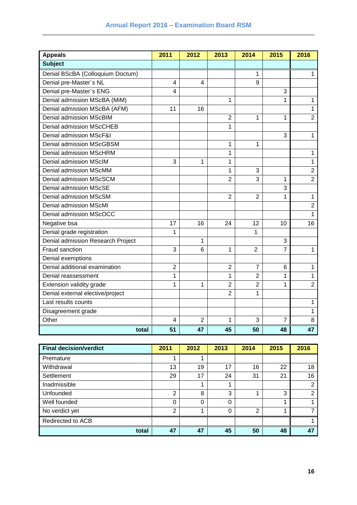| <b>Appeals</b>                    | 2011           | 2012           | 2013           | 2014           | 2015 | 2016           |
|-----------------------------------|----------------|----------------|----------------|----------------|------|----------------|
| <b>Subject</b>                    |                |                |                |                |      |                |
| Denial BScBA (Colloquium Doctum)  |                |                |                | 1              |      | 1              |
| Denial pre-Master's NL            | 4              | 4              |                | 9              |      |                |
| Denial pre-Master's ENG           | 4              |                |                |                | 3    |                |
| Denial admission MScBA (MiM)      |                |                | 1              |                | 1    | $\mathbf{1}$   |
| Denial admission MScBA (AFM)      | 11             | 16             |                |                |      | 1              |
| Denial admission MScBIM           |                |                | $\overline{2}$ | 1              | 1    | $\overline{2}$ |
| <b>Denial admission MScCHEB</b>   |                |                | $\mathbf{1}$   |                |      |                |
| Denial admission MScF&I           |                |                |                |                | 3    | 1              |
| Denial admission MScGBSM          |                |                | 1              | 1              |      |                |
| <b>Denial admission MScHRM</b>    |                |                | 1              |                |      | 1              |
| Denial admission MScIM            | 3              | 1              | 1              |                |      | 1              |
| Denial admission MScMM            |                |                | 1              | 3              |      | $\overline{2}$ |
| Denial admission MScSCM           |                |                | $\overline{2}$ | 3              | 1    | $\overline{2}$ |
| Denial admission MScSE            |                |                |                |                | 3    |                |
| Denial admission MScSM            |                |                | $\overline{2}$ | $\overline{2}$ | 1    | $\mathbf{1}$   |
| Denial admission MScMI            |                |                |                |                |      | $\overline{2}$ |
| Denial admission MScOCC           |                |                |                |                |      | 1              |
| Negative bsa                      | 17             | 16             | 24             | 12             | 10   | 16             |
| Denial grade registration         | 1              |                |                | 1              |      |                |
| Denial admission Research Project |                | 1              |                |                | 3    |                |
| Fraud sanction                    | 3              | 6              | 1              | $\overline{2}$ | 7    | 1              |
| Denial exemptions                 |                |                |                |                |      |                |
| Denial additional examination     | $\overline{2}$ |                | $\overline{2}$ | $\overline{7}$ | 6    | $\mathbf{1}$   |
| Denial reassessment               | 1              |                | 1              | $\overline{2}$ | 1    | 1              |
| Extension validity grade          | 1              | 1              | $\overline{2}$ | $\overline{2}$ | 1    | $\overline{2}$ |
| Denial external elective/project  |                |                | $\overline{2}$ | 1              |      |                |
| Last results counts               |                |                |                |                |      | 1              |
| Disagreement grade                |                |                |                |                |      | 1              |
| Other                             | 4              | $\overline{2}$ | 1              | 3              | 7    | 8              |
| total                             | 51             | 47             | 45             | 50             | 48   | 47             |

| <b>Final decision/verdict</b> | 2011           | 2012 | 2013 | 2014           | 2015 | 2016           |
|-------------------------------|----------------|------|------|----------------|------|----------------|
| Premature                     |                |      |      |                |      |                |
| Withdrawal                    | 13             | 19   | 17   | 16             | 22   | 18             |
| Settlement                    | 29             | 17   | 24   | 31             | 21   | 16             |
| Inadmissible                  |                |      |      |                |      | $\overline{2}$ |
| Unfounded                     | $\overline{2}$ | 8    | 3    |                | 3    | $\overline{2}$ |
| Well founded                  | 0              | 0    | 0    |                |      |                |
| No verdict yet                | 2              |      | 0    | $\overline{2}$ |      |                |
| Redirected to ACB             |                |      |      |                |      |                |
| total                         | 47             | 47   | 45   | 50             | 48   | 47             |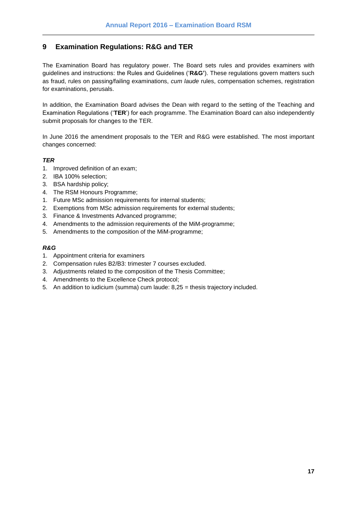# <span id="page-16-0"></span>**9 Examination Regulations: R&G and TER**

The Examination Board has regulatory power. The Board sets rules and provides examiners with guidelines and instructions: the Rules and Guidelines ('**R&G'**). These regulations govern matters such as fraud, rules on passing/failing examinations, *cum laude* rules, compensation schemes, registration for examinations, perusals.

In addition, the Examination Board advises the Dean with regard to the setting of the Teaching and Examination Regulations ('**TER**') for each programme. The Examination Board can also independently submit proposals for changes to the TER.

In June 2016 the amendment proposals to the TER and R&G were established. The most important changes concerned:

## *TER*

- 1. Improved definition of an exam;
- 2. IBA 100% selection;
- 3. BSA hardship policy;
- 4. The RSM Honours Programme;
- 1. Future MSc admission requirements for internal students;
- 2. Exemptions from MSc admission requirements for external students;
- 3. Finance & Investments Advanced programme;
- 4. Amendments to the admission requirements of the MiM-programme;
- 5. Amendments to the composition of the MiM-programme;

## *R&G*

- 1. Appointment criteria for examiners
- 2. Compensation rules B2/B3: trimester 7 courses excluded.
- 3. Adjustments related to the composition of the Thesis Committee;
- 4. Amendments to the Excellence Check protocol;
- 5. An addition to iudicium (summa) cum laude: 8,25 = thesis trajectory included.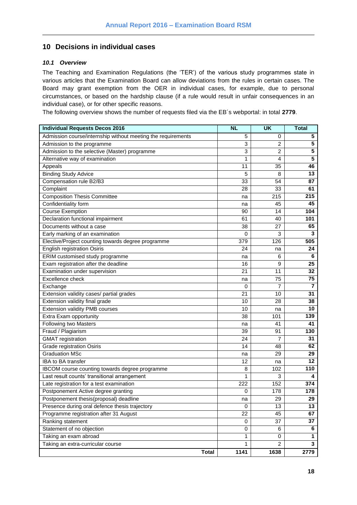## <span id="page-17-0"></span>**10 Decisions in individual cases**

### <span id="page-17-1"></span>*10.1 Overview*

The Teaching and Examination Regulations (the 'TER') of the various study programmes state in various articles that the Examination Board can allow deviations from the rules in certain cases. The Board may grant exemption from the OER in individual cases, for example, due to personal circumstances, or based on the hardship clause (if a rule would result in unfair consequences in an individual case), or for other specific reasons.

The following overview shows the number of requests filed via the EB´s webportal: in total **2779**.

| <b>Individual Requests Decos 2016</b>                        | <b>NL</b>   | <b>UK</b>      | <b>Total</b>    |
|--------------------------------------------------------------|-------------|----------------|-----------------|
| Admission course/internship without meeting the requirements | 5           | 0              | 5               |
| Admission to the programme                                   | 3           | $\overline{c}$ | $5\phantom{.0}$ |
| Admission to the selective (Master) programme                | 3           | 2              | 5               |
| Alternative way of examination                               | 1           | 4              | 5               |
| Appeals                                                      | 11          | 35             | 46              |
| <b>Binding Study Advice</b>                                  | 5           | 8              | 13              |
| Compensation rule B2/B3                                      | 33          | 54             | 87              |
| Complaint                                                    | 28          | 33             | 61              |
| <b>Composition Thesis Committee</b>                          | na          | 215            | 215             |
| Confidentiality form                                         | na          | 45             | 45              |
| <b>Course Exemption</b>                                      | 90          | 14             | 104             |
| Declaration functional impairment                            | 61          | 40             | 101             |
| Documents without a case                                     | 38          | 27             | 65              |
| Early marking of an examination                              | $\mathbf 0$ | 3              | 3               |
| Elective/Project counting towards degree programme           | 379         | 126            | 505             |
| <b>English registration Osiris</b>                           | 24          | na             | 24              |
| ERIM customised study programme                              | na          | 6              | 6               |
| Exam registration after the deadline                         | 16          | 9              | 25              |
| Examination under supervision                                | 21          | 11             | 32              |
| Excellence check                                             | na          | 75             | 75              |
| Exchange                                                     | 0           | $\overline{7}$ | $\overline{7}$  |
| Extension validity cases/ partial grades                     | 21          | 10             | 31              |
| Extension validity final grade                               | 10          | 28             | 38              |
| Extension validity PMB courses                               | 10          | na             | 10              |
| Extra Exam opportunity                                       | 38          | 101            | 139             |
| Following two Masters                                        | na          | 41             | 41              |
| Fraud / Plagiarism                                           | 39          | 91             | 130             |
| <b>GMAT</b> registration                                     | 24          | 7              | 31              |
| <b>Grade registration Osiris</b>                             | 14          | 48             | 62              |
| <b>Graduation MSc</b>                                        | na          | 29             | 29              |
| IBA to BA transfer                                           | 12          | na             | 12              |
| IBCOM course counting towards degree programme               | 8           | 102            | 110             |
| Last result counts' transitional arrangement                 | 1           | 3              | 4               |
| Late registration for a test examination                     | 222         | 152            | 374             |
| Postponement Active degree granting                          | 0           | 178            | 178             |
| Postponement thesis(proposal) deadline                       | na          | 29             | 29              |
| Presence during oral defence thesis trajectory               | 0           | 13             | 13              |
| Programme registration after 31 August                       | 22          | 45             | 67              |
| Ranking statement                                            | 0           | 37             | 37              |
| Statement of no objection                                    | 0           | 6              | 6               |
| Taking an exam abroad                                        | 1           | $\mathbf 0$    | 1               |
| Taking an extra-curricular course                            | 1           | $\overline{2}$ | 3               |
| <b>Total</b>                                                 | 1141        | 1638           | 2779            |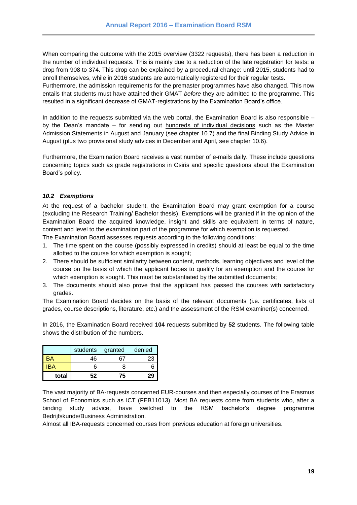When comparing the outcome with the 2015 overview (3322 requests), there has been a reduction in the number of individual requests. This is mainly due to a reduction of the late registration for tests: a drop from 908 to 374. This drop can be explained by a procedural change: until 2015, students had to enroll themselves, while in 2016 students are automatically registered for their regular tests.

Furthermore, the admission requirements for the premaster programmes have also changed. This now entails that students must have attained their GMAT *before* they are admitted to the programme. This resulted in a significant decrease of GMAT-registrations by the Examination Board's office.

In addition to the requests submitted via the web portal, the Examination Board is also responsible – by the Dean's mandate – for sending out hundreds of individual decisions such as the Master Admission Statements in August and January (see chapter 10.7) and the final Binding Study Advice in August (plus two provisional study advices in December and April, see chapter 10.6).

Furthermore, the Examination Board receives a vast number of e-mails daily. These include questions concerning topics such as grade registrations in Osiris and specific questions about the Examination Board's policy.

#### <span id="page-18-0"></span>*10.2 Exemptions*

At the request of a bachelor student, the Examination Board may grant exemption for a course (excluding the Research Training/ Bachelor thesis). Exemptions will be granted if in the opinion of the Examination Board the acquired knowledge, insight and skills are equivalent in terms of nature, content and level to the examination part of the programme for which exemption is requested.

The Examination Board assesses requests according to the following conditions:

- 1. The time spent on the course (possibly expressed in credits) should at least be equal to the time allotted to the course for which exemption is sought;
- 2. There should be sufficient similarity between content, methods, learning objectives and level of the course on the basis of which the applicant hopes to qualify for an exemption and the course for which exemption is sought. This must be substantiated by the submitted documents;
- 3. The documents should also prove that the applicant has passed the courses with satisfactory grades.

The Examination Board decides on the basis of the relevant documents (i.e. certificates, lists of grades, course descriptions, literature, etc.) and the assessment of the RSM examiner(s) concerned.

In 2016, the Examination Board received **104** requests submitted by **52** students. The following table shows the distribution of the numbers.

|       | students | granted | denied |
|-------|----------|---------|--------|
|       | 46       |         | 23     |
| BA    | 6        |         |        |
| total | 52       | 75      | 29     |

The vast majority of BA-requests concerned EUR-courses and then especially courses of the Erasmus School of Economics such as ICT (FEB11013). Most BA requests come from students who, after a binding study advice, have switched to the RSM bachelor's degree programme Bedrijfskunde/Business Administration.

Almost all IBA-requests concerned courses from previous education at foreign universities.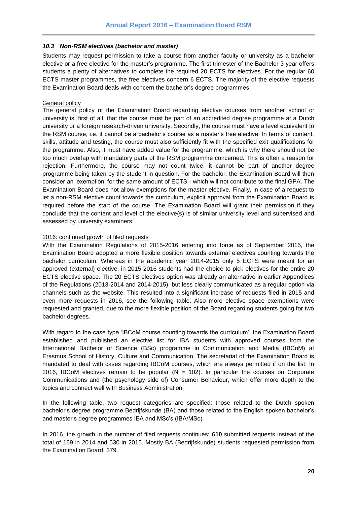#### <span id="page-19-0"></span>*10.3 Non-RSM electives (bachelor and master)*

Students may request permission to take a course from another faculty or university as a bachelor elective or a free elective for the master's programme. The first trimester of the Bachelor 3 year offers students a plenty of alternatives to complete the required 20 ECTS for electives. For the regular 60 ECTS master programmes, the free electives concern 6 ECTS. The majority of the elective requests the Examination Board deals with concern the bachelor's degree programmes.

#### General policy

The general policy of the Examination Board regarding elective courses from another school or university is, first of all, that the course must be part of an accredited degree programme at a Dutch university or a foreign research-driven university. Secondly, the course must have a level equivalent to the RSM course, i.e. it cannot be a bachelor's course as a master's free elective. In terms of content, skills, attitude and testing, the course must also sufficiently fit with the specified exit qualifications for the programme. Also, it must have added value for the programme, which is why there should not be too much overlap with mandatory parts of the RSM programme concerned. This is often a reason for rejection. Furthermore, the course may not count twice: it cannot be part of another degree programme being taken by the student in question. For the bachelor, the Examination Board will then consider an 'exemption' for the same amount of ECTS - which will not contribute to the final GPA. The Examination Board does not allow exemptions for the master elective. Finally, in case of a request to let a non-RSM elective count towards the curriculum, explicit approval from the Examination Board is required before the start of the course. The Examination Board will grant their permission if they conclude that the content and level of the elective(s) is of similar university level and supervised and assessed by university examiners.

#### 2016: continued growth of filed requests

With the Examination Regulations of 2015-2016 entering into force as of September 2015, the Examination Board adopted a more flexible position towards external electives counting towards the bachelor curriculum. Whereas in the academic year 2014-2015 only 5 ECTS were meant for an approved (external) elective, in 2015-2016 students had the choice to pick electives for the entire 20 ECTS elective space. The 20 ECTS electives option was already an alternative in earlier Appendices of the Regulations (2013-2014 and 2014-2015), but less clearly communicated as a regular option via channels such as the website. This resulted into a significant increase of requests filed in 2015 and even more requests in 2016, see the following table. Also more elective space exemptions were requested and granted, due to the more flexible position of the Board regarding students going for two bachelor degrees.

With regard to the case type 'IBCoM course counting towards the curriculum', the Examination Board established and published an elective list for IBA students with approved courses from the International Bachelor of Science (BSc) programme in Communication and Media (IBCoM) at Erasmus School of History, Culture and Communication. The secretariat of the Examination Board is mandated to deal with cases regarding IBCoM courses, which are always permitted if on the list. In 2016, IBCoM electives remain to be popular  $(N = 102)$ . In particular the courses on Corporate Communications and (the psychology side of) Consumer Behaviour, which offer more depth to the topics and connect well with Business Administration.

In the following table, two request categories are specified: those related to the Dutch spoken bachelor's degree programme Bedrijfskunde (BA) and those related to the English spoken bachelor's and master's degree programmes IBA and MSc's (IBA/MSc).

In 2016, the growth in the number of filed requests continues: **610** submitted requests instead of the total of 169 in 2014 and 530 in 2015. Mostly BA (Bedrijfskunde) students requested permission from the Examination Board: 379.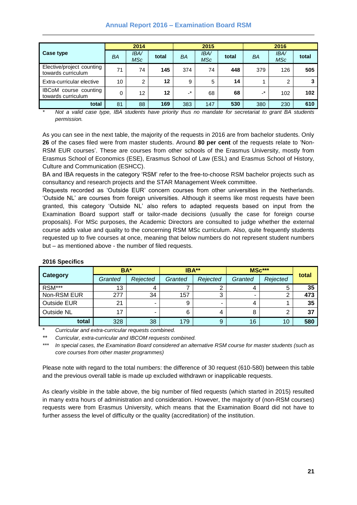## **Annual Report 2016 – Examination Board RSM**

|                                                    | 2014      |                    |       | 2015  |                    |       | 2016      |                   |       |
|----------------------------------------------------|-----------|--------------------|-------|-------|--------------------|-------|-----------|-------------------|-------|
| Case type                                          | <b>BA</b> | <b>IBA/</b><br>MSc | total | BA    | <b>IBA/</b><br>MSc | total | ΒA        | <b>IBA</b><br>MSc | total |
| Elective/project counting<br>towards curriculum    | 71        | 74                 | 145   | 374   | 74                 | 448   | 379       | 126               | 505   |
| Extra-curricular elective                          | 10        | $\overline{2}$     | 12    | 9     | 5                  | 14    |           | 2                 | 3     |
| <b>IBCoM</b> course counting<br>towards curriculum | $\Omega$  | 12                 | 12    | $-$ * | 68                 | 68    | $\cdot^*$ | 102               | 102   |
| total                                              | 81        | 88                 | 169   | 383   | 147                | 530   | 380       | 230               | 610   |

*\* Not a valid case type, IBA students have priority thus no mandate for secretariat to grant BA students permission.*

As you can see in the next table, the majority of the requests in 2016 are from bachelor students. Only **26** of the cases filed were from master students. Around **80 per cent** of the requests relate to 'Non-RSM EUR courses'. These are courses from other schools of the Erasmus University, mostly from Erasmus School of Economics (ESE), Erasmus School of Law (ESL) and Erasmus School of History, Culture and Communication (ESHCC).

BA and IBA requests in the category 'RSM' refer to the free-to-choose RSM bachelor projects such as consultancy and research projects and the STAR Management Week committee.

Requests recorded as 'Outside EUR' concern courses from other universities in the Netherlands. 'Outside NL' are courses from foreign universities. Although it seems like most requests have been granted, this category 'Outside NL' also refers to adapted requests based on input from the Examination Board support staff or tailor-made decisions (usually the case for foreign course proposals). For MSc purposes, the Academic Directors are consulted to judge whether the external course adds value and quality to the concerning RSM MSc curriculum. Also, quite frequently students requested up to five courses at once, meaning that below numbers do not represent student numbers but – as mentioned above - the number of filed requests.

|                    | BA*     |          | IBA**   |          | MSc***              | total |     |
|--------------------|---------|----------|---------|----------|---------------------|-------|-----|
| <b>Category</b>    | Granted | Rejected | Granted | Rejected | Rejected<br>Granted |       |     |
| RSM***             | 13      | 4        |         |          | 4                   | 5     | 35  |
| Non-RSM EUR        | 277     | 34       | 157     |          | -                   |       | 473 |
| <b>Outside EUR</b> | 21      |          | 9       | -        | 4                   |       | 35  |
| Outside NL         | 17      | -        | 6       |          | 8                   |       | 37  |
| total              | 328     | 38       | 179     | 9        | 16                  | 10    | 580 |

### **2016 Specifics**

\* *Curricular and extra-curricular requests combined.*

*\*\* Curricular, extra-curricular and IBCOM requests combined.*

*\*\*\* In special cases, the Examination Board considered an alternative RSM course for master students (such as core courses from other master programmes)*

Please note with regard to the total numbers: the difference of 30 request (610-580) between this table and the previous overall table is made up excluded withdrawn or inapplicable requests.

As clearly visible in the table above, the big number of filed requests (which started in 2015) resulted in many extra hours of administration and consideration. However, the majority of (non-RSM courses) requests were from Erasmus University, which means that the Examination Board did not have to further assess the level of difficulty or the quality (accreditation) of the institution.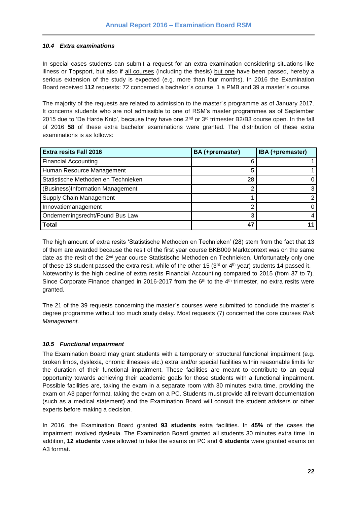## <span id="page-21-0"></span>*10.4 Extra examinations*

In special cases students can submit a request for an extra examination considering situations like illness or Topsport, but also if all courses (including the thesis) but one have been passed, hereby a serious extension of the study is expected (e.g. more than four months). In 2016 the Examination Board received **112** requests: 72 concerned a bachelor´s course, 1 a PMB and 39 a master´s course.

The majority of the requests are related to admission to the master´s programme as of January 2017. It concerns students who are not admissible to one of RSM's master programmes as of September 2015 due to 'De Harde Knip', because they have one  $2^{nd}$  or  $3^{rd}$  trimester B2/B3 course open. In the fall of 2016 **58** of these extra bachelor examinations were granted. The distribution of these extra examinations is as follows:

| <b>Extra resits Fall 2016</b>       | BA (+premaster) | IBA (+premaster) |
|-------------------------------------|-----------------|------------------|
| <b>Financial Accounting</b>         |                 |                  |
| Human Resource Management           |                 |                  |
| Statistische Methoden en Technieken | 28              |                  |
| (Business)Information Management    |                 |                  |
| Supply Chain Management             |                 |                  |
| Innovatiemanagement                 |                 |                  |
| Ondernemingsrecht/Found Bus Law     | ว               | 4                |
| <b>Total</b>                        | 47              |                  |

The high amount of extra resits 'Statistische Methoden en Technieken' (28) stem from the fact that 13 of them are awarded because the resit of the first year course BKB009 Marktcontext was on the same date as the resit of the 2<sup>nd</sup> year course Statistische Methoden en Technieken. Unfortunately only one of these 13 student passed the extra resit, while of the other 15 ( $3<sup>rd</sup>$  or 4<sup>th</sup> year) students 14 passed it. Noteworthy is the high decline of extra resits Financial Accounting compared to 2015 (from 37 to 7). Since Corporate Finance changed in 2016-2017 from the  $6<sup>th</sup>$  to the 4<sup>th</sup> trimester, no extra resits were granted.

The 21 of the 39 requests concerning the master´s courses were submitted to conclude the master´s degree programme without too much study delay. Most requests (7) concerned the core courses *Risk Management.*

## <span id="page-21-1"></span>*10.5 Functional impairment*

The Examination Board may grant students with a temporary or structural functional impairment (e.g. broken limbs, dyslexia, chronic illnesses etc.) extra and/or special facilities within reasonable limits for the duration of their functional impairment. These facilities are meant to contribute to an equal opportunity towards achieving their academic goals for those students with a functional impairment. Possible facilities are, taking the exam in a separate room with 30 minutes extra time, providing the exam on A3 paper format, taking the exam on a PC. Students must provide all relevant documentation (such as a medical statement) and the Examination Board will consult the student advisers or other experts before making a decision.

In 2016, the Examination Board granted **93 students** extra facilities. In **45%** of the cases the impairment involved dyslexia. The Examination Board granted all students 30 minutes extra time. In addition, **12 students** were allowed to take the exams on PC and **6 students** were granted exams on A3 format.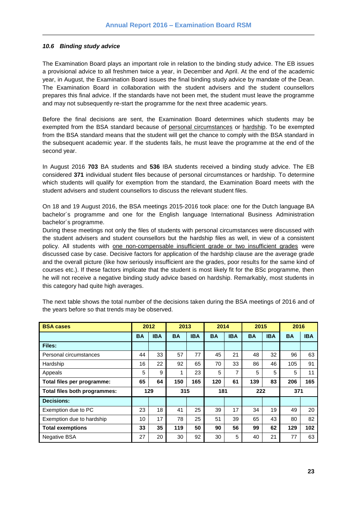#### <span id="page-22-0"></span>*10.6 Binding study advice*

The Examination Board plays an important role in relation to the binding study advice. The EB issues a provisional advice to all freshmen twice a year, in December and April. At the end of the academic year, in August, the Examination Board issues the final binding study advice by mandate of the Dean. The Examination Board in collaboration with the student advisers and the student counsellors prepares this final advice. If the standards have not been met, the student must leave the programme and may not subsequently re-start the programme for the next three academic years.

Before the final decisions are sent, the Examination Board determines which students may be exempted from the BSA standard because of personal circumstances or hardship. To be exempted from the BSA standard means that the student will get the chance to comply with the BSA standard in the subsequent academic year. If the students fails, he must leave the programme at the end of the second year.

In August 2016 **703** BA students and **536** IBA students received a binding study advice. The EB considered **371** individual student files because of personal circumstances or hardship. To determine which students will qualify for exemption from the standard, the Examination Board meets with the student advisers and student counsellors to discuss the relevant student files.

On 18 and 19 August 2016, the BSA meetings 2015-2016 took place: one for the Dutch language BA bachelor´s programme and one for the English language International Business Administration bachelor´s programme.

During these meetings not only the files of students with personal circumstances were discussed with the student advisers and student counsellors but the hardship files as well, in view of a consistent policy. All students with one non-compensable insufficient grade or two insufficient grades were discussed case by case. Decisive factors for application of the hardship clause are the average grade and the overall picture (like how seriously insufficient are the grades, poor results for the same kind of courses etc.). If these factors implicate that the student is most likely fit for the BSc programme, then he will not receive a negative binding study advice based on hardship. Remarkably, most students in this category had quite high averages.

| <b>BSA cases</b>             |           | 2012 |           | 2013       |           | 2014       |           | 2015       |           | 2016       |  |
|------------------------------|-----------|------|-----------|------------|-----------|------------|-----------|------------|-----------|------------|--|
|                              | <b>BA</b> | IBA  | <b>BA</b> | <b>IBA</b> | <b>BA</b> | <b>IBA</b> | <b>BA</b> | <b>IBA</b> | <b>BA</b> | <b>IBA</b> |  |
| Files:                       |           |      |           |            |           |            |           |            |           |            |  |
| Personal circumstances       | 44        | 33   | 57        | 77         | 45        | 21         | 48        | 32         | 96        | 63         |  |
| Hardship                     | 16        | 22   | 92        | 65         | 70        | 33         | 86        | 46         | 105       | 91         |  |
| Appeals                      | 5         | 9    | 1         | 23         | 5         | 7          | 5         | 5          | 5         | 11         |  |
| Total files per programme:   | 65        | 64   | 150       | 165        | 120       | 61         | 139       | 83         | 206       | 165        |  |
| Total files both programmes: | 129       |      | 315       |            | 181       |            | 222       |            | 371       |            |  |
| <b>Decisions:</b>            |           |      |           |            |           |            |           |            |           |            |  |
| Exemption due to PC          | 23        | 18   | 41        | 25         | 39        | 17         | 34        | 19         | 49        | 20         |  |
| Exemption due to hardship    | 17<br>10  |      | 78        | 25         | 51        | 39         | 65        | 43         | 80        | 82         |  |
| <b>Total exemptions</b>      | 33        | 35   | 119       | 50         | 90        | 56         | 99        | 62         | 129       | 102        |  |
| <b>Negative BSA</b>          | 27        | 20   | 30        | 92         | 30        | 5          | 40        | 21         | 77        | 63         |  |

The next table shows the total number of the decisions taken during the BSA meetings of 2016 and of the years before so that trends may be observed.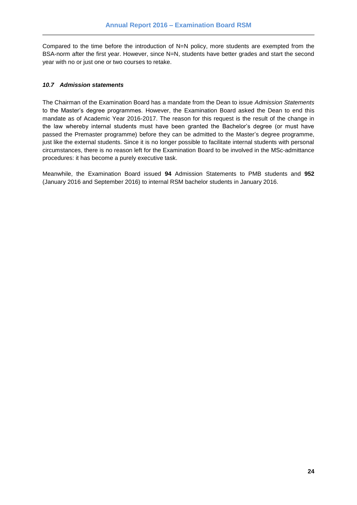Compared to the time before the introduction of N=N policy, more students are exempted from the BSA-norm after the first year. However, since N=N, students have better grades and start the second year with no or just one or two courses to retake.

### <span id="page-23-0"></span>*10.7 Admission statements*

The Chairman of the Examination Board has a mandate from the Dean to issue *Admission Statements* to the Master's degree programmes. However, the Examination Board asked the Dean to end this mandate as of Academic Year 2016-2017. The reason for this request is the result of the change in the law whereby internal students must have been granted the Bachelor's degree (or must have passed the Premaster programme) before they can be admitted to the Master's degree programme, just like the external students. Since it is no longer possible to facilitate internal students with personal circumstances, there is no reason left for the Examination Board to be involved in the MSc-admittance procedures: it has become a purely executive task.

Meanwhile, the Examination Board issued **94** Admission Statements to PMB students and **952**  (January 2016 and September 2016) to internal RSM bachelor students in January 2016.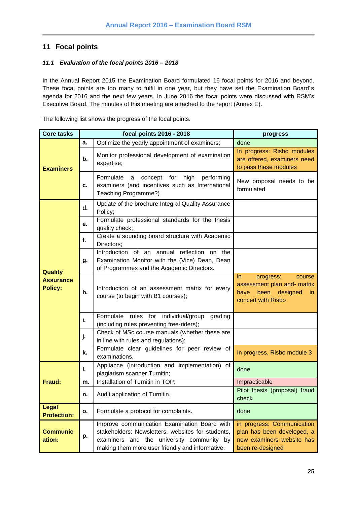# <span id="page-24-0"></span>**11 Focal points**

## <span id="page-24-1"></span>*11.1 Evaluation of the focal points 2016 – 2018*

In the Annual Report 2015 the Examination Board formulated 16 focal points for 2016 and beyond. These focal points are too many to fulfil in one year, but they have set the Examination Board´s agenda for 2016 and the next few years. In June 2016 the focal points were discussed with RSM's Executive Board. The minutes of this meeting are attached to the report (Annex E).

The following list shows the progress of the focal points.

| <b>Core tasks</b>                                    |    | focal points 2016 - 2018                                                                                                                                                                          | progress                                                                                                        |  |  |  |
|------------------------------------------------------|----|---------------------------------------------------------------------------------------------------------------------------------------------------------------------------------------------------|-----------------------------------------------------------------------------------------------------------------|--|--|--|
|                                                      | a. | Optimize the yearly appointment of examiners;                                                                                                                                                     | done                                                                                                            |  |  |  |
| <b>Examiners</b>                                     | b. | Monitor professional development of examination<br>expertise;                                                                                                                                     | In progress: Risbo modules<br>are offered, examiners need<br>to pass these modules                              |  |  |  |
|                                                      | c. | performing<br>high<br>Formulate a<br>concept for<br>examiners (and incentives such as International<br>Teaching Programme?)                                                                       | New proposal needs to be<br>formulated                                                                          |  |  |  |
|                                                      | d. | Update of the brochure Integral Quality Assurance<br>Policy;                                                                                                                                      |                                                                                                                 |  |  |  |
|                                                      | е. | Formulate professional standards for the thesis<br>quality check;                                                                                                                                 |                                                                                                                 |  |  |  |
|                                                      | f. | Create a sounding board structure with Academic<br>Directors;                                                                                                                                     |                                                                                                                 |  |  |  |
|                                                      | g. | Introduction of an annual reflection on the<br>Examination Monitor with the (Vice) Dean, Dean<br>of Programmes and the Academic Directors.                                                        |                                                                                                                 |  |  |  |
| <b>Quality</b><br><b>Assurance</b><br><b>Policy:</b> | h. | Introduction of an assessment matrix for every<br>course (to begin with B1 courses);                                                                                                              | in.<br>progress:<br>course<br>assessment plan and- matrix<br>have<br>been designed<br>in.<br>concert with Risbo |  |  |  |
|                                                      | i. | Formulate rules for individual/group<br>grading<br>(including rules preventing free-riders);                                                                                                      |                                                                                                                 |  |  |  |
|                                                      | j. | Check of MSc course manuals (whether these are<br>in line with rules and regulations);                                                                                                            |                                                                                                                 |  |  |  |
|                                                      | k. | Formulate clear guidelines for peer review of<br>examinations.                                                                                                                                    | In progress, Risbo module 3                                                                                     |  |  |  |
|                                                      | L. | Appliance (introduction and implementation) of<br>plagiarism scanner Turnitin;                                                                                                                    | done                                                                                                            |  |  |  |
| Fraud:                                               | m. | Installation of Turnitin in TOP;                                                                                                                                                                  | Impracticable                                                                                                   |  |  |  |
|                                                      | n. | Audit application of Turnitin.                                                                                                                                                                    | Pilot thesis (proposal) fraud<br>check                                                                          |  |  |  |
| <b>Legal</b><br><b>Protection:</b>                   | о. | Formulate a protocol for complaints.                                                                                                                                                              | done                                                                                                            |  |  |  |
| <b>Communic</b><br>ation:                            | p. | Improve communication Examination Board with<br>stakeholders: Newsletters, websites for students,<br>examiners and the university community by<br>making them more user friendly and informative. | in progress: Communication<br>plan has been developed, a<br>new examiners website has<br>been re-designed       |  |  |  |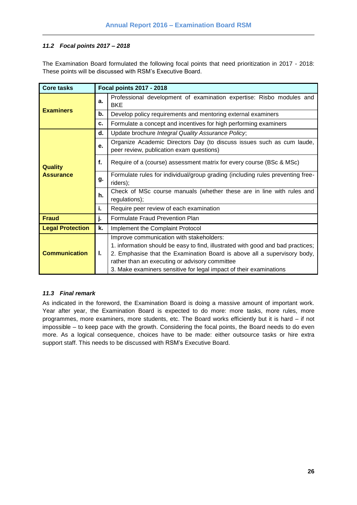## <span id="page-25-0"></span>*11.2 Focal points 2017 – 2018*

The Examination Board formulated the following focal points that need prioritization in 2017 - 2018: These points will be discussed with RSM's Executive Board.

| <b>Core tasks</b>       | Focal points 2017 - 2018 |                                                                                                                                                                                                                                                                                                                                 |  |  |  |  |  |  |
|-------------------------|--------------------------|---------------------------------------------------------------------------------------------------------------------------------------------------------------------------------------------------------------------------------------------------------------------------------------------------------------------------------|--|--|--|--|--|--|
|                         | a.                       | Professional development of examination expertise: Risbo modules and<br><b>BKE</b>                                                                                                                                                                                                                                              |  |  |  |  |  |  |
| <b>Examiners</b>        | b.                       | Develop policy requirements and mentoring external examiners                                                                                                                                                                                                                                                                    |  |  |  |  |  |  |
|                         | c.                       | Formulate a concept and incentives for high performing examiners                                                                                                                                                                                                                                                                |  |  |  |  |  |  |
|                         | d.                       | Update brochure Integral Quality Assurance Policy;                                                                                                                                                                                                                                                                              |  |  |  |  |  |  |
|                         | e.                       | Organize Academic Directors Day (to discuss issues such as cum laude,<br>peer review, publication exam questions)                                                                                                                                                                                                               |  |  |  |  |  |  |
| <b>Quality</b>          | f.                       | Require of a (course) assessment matrix for every course (BSc & MSc)                                                                                                                                                                                                                                                            |  |  |  |  |  |  |
| <b>Assurance</b>        | g.                       | Formulate rules for individual/group grading (including rules preventing free-<br>riders);                                                                                                                                                                                                                                      |  |  |  |  |  |  |
|                         | h.                       | Check of MSc course manuals (whether these are in line with rules and<br>regulations);                                                                                                                                                                                                                                          |  |  |  |  |  |  |
|                         | i.                       | Require peer review of each examination                                                                                                                                                                                                                                                                                         |  |  |  |  |  |  |
| <b>Fraud</b>            | j.                       | Formulate Fraud Prevention Plan                                                                                                                                                                                                                                                                                                 |  |  |  |  |  |  |
| <b>Legal Protection</b> | k.                       | Implement the Complaint Protocol                                                                                                                                                                                                                                                                                                |  |  |  |  |  |  |
| <b>Communication</b>    | Ъ.                       | Improve communication with stakeholders:<br>1. information should be easy to find, illustrated with good and bad practices;<br>2. Emphasise that the Examination Board is above all a supervisory body,<br>rather than an executing or advisory committee<br>3. Make examiners sensitive for legal impact of their examinations |  |  |  |  |  |  |

#### <span id="page-25-1"></span>*11.3 Final remark*

As indicated in the foreword, the Examination Board is doing a massive amount of important work. Year after year, the Examination Board is expected to do more: more tasks, more rules, more programmes, more examiners, more students, etc. The Board works efficiently but it is hard – if not impossible – to keep pace with the growth. Considering the focal points, the Board needs to do even more. As a logical consequence, choices have to be made: either outsource tasks or hire extra support staff. This needs to be discussed with RSM's Executive Board.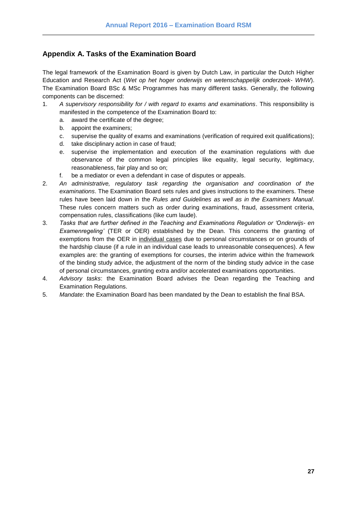# <span id="page-26-0"></span>**Appendix A. Tasks of the Examination Board**

The legal framework of the Examination Board is given by Dutch Law, in particular the Dutch Higher Education and Research Act (*Wet op het hoger onderwijs en wetenschappelijk onderzoek- WHW*). The Examination Board BSc & MSc Programmes has many different tasks. Generally, the following components can be discerned:

- 1. *A supervisory responsibility for / with regard to exams and examinations*. This responsibility is manifested in the competence of the Examination Board to:
	- a. award the certificate of the degree;
	- b. appoint the examiners;
	- c. supervise the quality of exams and examinations (verification of required exit qualifications);
	- d. take disciplinary action in case of fraud;
	- e. supervise the implementation and execution of the examination regulations with due observance of the common legal principles like equality, legal security, legitimacy, reasonableness, fair play and so on;
	- f. be a mediator or even a defendant in case of disputes or appeals.
- 2. *An administrative, regulatory task regarding the organisation and coordination of the examinations*. The Examination Board sets rules and gives instructions to the examiners. These rules have been laid down in the *Rules and Guidelines as well as in the Examiners Manual*. These rules concern matters such as order during examinations, fraud, assessment criteria, compensation rules, classifications (like cum laude).
- 3. *Tasks that are further defined in the Teaching and Examinations Regulation or 'Onderwijs- en Examenregeling'* (TER or OER) established by the Dean. This concerns the granting of exemptions from the OER in individual cases due to personal circumstances or on grounds of the hardship clause (if a rule in an individual case leads to unreasonable consequences). A few examples are: the granting of exemptions for courses, the interim advice within the framework of the binding study advice, the adjustment of the norm of the binding study advice in the case of personal circumstances, granting extra and/or accelerated examinations opportunities.
- 4. *Advisory tasks*: the Examination Board advises the Dean regarding the Teaching and Examination Regulations.
- 5. *Mandate*: the Examination Board has been mandated by the Dean to establish the final BSA.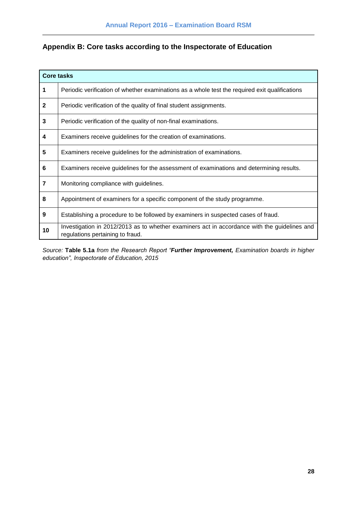# <span id="page-27-0"></span>**Appendix B: Core tasks according to the Inspectorate of Education**

|              | <b>Core tasks</b>                                                                                                                |
|--------------|----------------------------------------------------------------------------------------------------------------------------------|
| 1            | Periodic verification of whether examinations as a whole test the required exit qualifications                                   |
| $\mathbf{2}$ | Periodic verification of the quality of final student assignments.                                                               |
| 3            | Periodic verification of the quality of non-final examinations.                                                                  |
| 4            | Examiners receive guidelines for the creation of examinations.                                                                   |
| 5            | Examiners receive guidelines for the administration of examinations.                                                             |
| 6            | Examiners receive guidelines for the assessment of examinations and determining results.                                         |
| 7            | Monitoring compliance with guidelines.                                                                                           |
| 8            | Appointment of examiners for a specific component of the study programme.                                                        |
| 9            | Establishing a procedure to be followed by examiners in suspected cases of fraud.                                                |
| 10           | Investigation in 2012/2013 as to whether examiners act in accordance with the guidelines and<br>regulations pertaining to fraud. |

*Source:* **Table 5.1a** *from the Research Report "Further Improvement, Examination boards in higher education", Inspectorate of Education, 2015*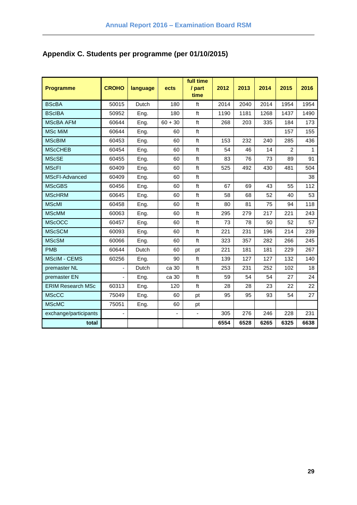# <span id="page-28-0"></span>**Appendix C. Students per programme (per 01/10/2015)**

| <b>Programme</b>         | <b>CROHO</b>   | language | ects      | full time<br>/ part<br>time | 2012 | 2013 | 2014 | 2015           | 2016 |
|--------------------------|----------------|----------|-----------|-----------------------------|------|------|------|----------------|------|
| <b>BScBA</b>             | 50015          | Dutch    | 180       | ft                          | 2014 | 2040 | 2014 | 1954           | 1954 |
| <b>BScIBA</b>            | 50952          | Eng.     | 180       | ft                          | 1190 | 1181 | 1268 | 1437           | 1490 |
| <b>MScBA AFM</b>         | 60644          | Eng.     | $60 + 30$ | ft                          | 268  | 203  | 335  | 184            | 173  |
| <b>MSc MiM</b>           | 60644          | Eng.     | 60        | ft                          |      |      |      | 157            | 155  |
| <b>MScBIM</b>            | 60453          | Eng.     | 60        | ft                          | 153  | 232  | 240  | 285            | 436  |
| <b>MScCHEB</b>           | 60454          | Eng.     | 60        | ft                          | 54   | 46   | 14   | $\overline{2}$ | 1    |
| <b>MScSE</b>             | 60455          | Eng.     | 60        | ft                          | 83   | 76   | 73   | 89             | 91   |
| <b>MScFI</b>             | 60409          | Eng.     | 60        | $\operatorname{\sf ft}$     | 525  | 492  | 430  | 481            | 504  |
| MScFI-Advanced           | 60409          | Eng.     | 60        | ft                          |      |      |      |                | 38   |
| <b>MScGBS</b>            | 60456          | Eng.     | 60        | $\operatorname{\sf ft}$     | 67   | 69   | 43   | 55             | 112  |
| <b>MScHRM</b>            | 60645          | Eng.     | 60        | ft                          | 58   | 68   | 52   | 40             | 53   |
| <b>MScMI</b>             | 60458          | Eng.     | 60        | ft                          | 80   | 81   | 75   | 94             | 118  |
| <b>MScMM</b>             | 60063          | Eng.     | 60        | $\operatorname{\sf ft}$     | 295  | 279  | 217  | 221            | 243  |
| <b>MScOCC</b>            | 60457          | Eng.     | 60        | ft                          | 73   | 78   | 50   | 52             | 57   |
| <b>MScSCM</b>            | 60093          | Eng.     | 60        | ft                          | 221  | 231  | 196  | 214            | 239  |
| <b>MScSM</b>             | 60066          | Eng.     | 60        | $\operatorname{\sf ft}$     | 323  | 357  | 282  | 266            | 245  |
| <b>PMB</b>               | 60644          | Dutch    | 60        | pt                          | 221  | 181  | 181  | 229            | 267  |
| <b>MScIM - CEMS</b>      | 60256          | Eng.     | 90        | ft                          | 139  | 127  | 127  | 132            | 140  |
| premaster NL             |                | Dutch    | ca 30     | ft                          | 253  | 231  | 252  | 102            | 18   |
| premaster EN             | $\overline{a}$ | Eng.     | ca 30     | ft                          | 59   | 54   | 54   | 27             | 24   |
| <b>ERIM Research MSc</b> | 60313          | Eng.     | 120       | $\operatorname{\sf ft}$     | 28   | 28   | 23   | 22             | 22   |
| <b>MScCC</b>             | 75049          | Eng.     | 60        | pt                          | 95   | 95   | 93   | 54             | 27   |
| <b>MScMC</b>             | 75051          | Eng.     | 60        | pt                          |      |      |      |                |      |
| exchange/participants    | ٠              |          | ÷,        | $\overline{\phantom{a}}$    | 305  | 276  | 246  | 228            | 231  |
| total                    |                |          |           |                             | 6554 | 6528 | 6265 | 6325           | 6638 |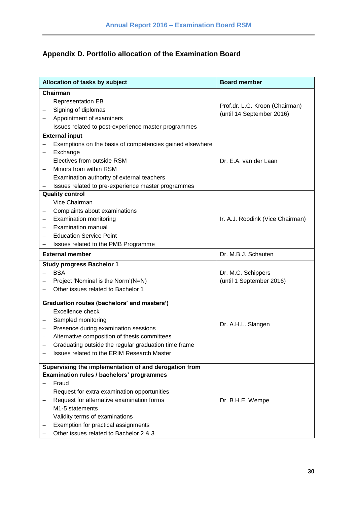# <span id="page-29-0"></span>**Appendix D. Portfolio allocation of the Examination Board**

|                          | Allocation of tasks by subject                           | <b>Board member</b>                                         |  |  |  |
|--------------------------|----------------------------------------------------------|-------------------------------------------------------------|--|--|--|
|                          | Chairman                                                 |                                                             |  |  |  |
|                          | <b>Representation EB</b>                                 |                                                             |  |  |  |
|                          | Signing of diplomas                                      | Prof.dr. L.G. Kroon (Chairman)<br>(until 14 September 2016) |  |  |  |
|                          | Appointment of examiners                                 |                                                             |  |  |  |
|                          | Issues related to post-experience master programmes      |                                                             |  |  |  |
|                          | <b>External input</b>                                    |                                                             |  |  |  |
|                          | Exemptions on the basis of competencies gained elsewhere |                                                             |  |  |  |
|                          | Exchange                                                 |                                                             |  |  |  |
|                          | Electives from outside RSM                               | Dr. E.A. van der Laan                                       |  |  |  |
|                          | Minors from within RSM                                   |                                                             |  |  |  |
| $\overline{\phantom{0}}$ | Examination authority of external teachers               |                                                             |  |  |  |
| $\overline{\phantom{0}}$ | Issues related to pre-experience master programmes       |                                                             |  |  |  |
|                          | <b>Quality control</b>                                   |                                                             |  |  |  |
|                          | Vice Chairman                                            |                                                             |  |  |  |
|                          | Complaints about examinations                            |                                                             |  |  |  |
|                          | <b>Examination monitoring</b>                            | Ir. A.J. Roodink (Vice Chairman)                            |  |  |  |
|                          | <b>Examination manual</b>                                |                                                             |  |  |  |
|                          | <b>Education Service Point</b>                           |                                                             |  |  |  |
| $\overline{\phantom{0}}$ | Issues related to the PMB Programme                      |                                                             |  |  |  |
|                          | <b>External member</b>                                   | Dr. M.B.J. Schauten                                         |  |  |  |
|                          | <b>Study progress Bachelor 1</b>                         |                                                             |  |  |  |
|                          | <b>BSA</b>                                               | Dr. M.C. Schippers                                          |  |  |  |
|                          | Project 'Nominal is the Norm'(N=N)                       | (until 1 September 2016)                                    |  |  |  |
|                          | Other issues related to Bachelor 1                       |                                                             |  |  |  |
|                          | Graduation routes (bachelors' and masters')              |                                                             |  |  |  |
|                          | Excellence check                                         |                                                             |  |  |  |
| -                        | Sampled monitoring                                       |                                                             |  |  |  |
| -                        | Presence during examination sessions                     | Dr. A.H.L. Slangen                                          |  |  |  |
| $\qquad \qquad -$        | Alternative composition of thesis committees             |                                                             |  |  |  |
|                          | Graduating outside the regular graduation time frame     |                                                             |  |  |  |
|                          | Issues related to the ERIM Research Master               |                                                             |  |  |  |
|                          |                                                          |                                                             |  |  |  |
|                          | Supervising the implementation of and derogation from    |                                                             |  |  |  |
|                          | Examination rules / bachelors' programmes                |                                                             |  |  |  |
|                          | Fraud                                                    |                                                             |  |  |  |
|                          | Request for extra examination opportunities              |                                                             |  |  |  |
|                          | Request for alternative examination forms                | Dr. B.H.E. Wempe                                            |  |  |  |
| -                        | M1-5 statements                                          |                                                             |  |  |  |
|                          | Validity terms of examinations                           |                                                             |  |  |  |
|                          | Exemption for practical assignments                      |                                                             |  |  |  |
|                          | Other issues related to Bachelor 2 & 3                   |                                                             |  |  |  |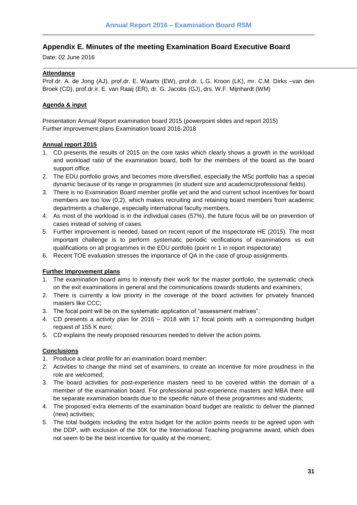## <span id="page-30-0"></span>**Appendix E. Minutes of the meeting Examination Board Executive Board**

Date: 02 June 2016

### **Attendance**

Prof.dr. A. de Jong (AJ), prof.dr. E. Waarts (EW), prof.dr. L.G. Kroon (LK), mr. C.M. Dirks –van den Broek (CD), prof.dr.ir. E. van Raaij (ER), dr. G. Jacobs (GJ), drs. W.F. Mijnhardt (WM)

## **Agenda & input**

Presentation Annual Report examination board 2015 (powerpoint slides and report 2015) Further improvement plans Examination board 2016-2018

#### **Annual report 2015**

- 1. CD presents the results of 2015 on the core tasks which clearly shows a growth in the workload and workload ratio of the examination board, both for the members of the board as the board support office.
- 2. The EDU portfolio grows and becomes more diversified, especially the MSc portfolio has a special dynamic because of its range in programmes (in student size and academic/professional fields).
- 3. There is no Examination Board member profile yet and the and current school incentives for board members are too low (0,2), which makes recruiting and retaining board members from academic departments a challenge, especially international faculty members.
- 4. As most of the workload is in the individual cases (57%), the future focus will be on prevention of cases instead of solving of cases.
- 5. Further improvement is needed, based on recent report of the Inspectorate HE (2015). The most important challenge is to perform systematic periodic verifications of examinations vs exit qualifications on all programmes in the EDU portfolio (point nr 1 in report inspectorate)
- 6. Recent TOE evaluation stresses the importance of QA in the case of group assignments.

#### **Further Improvement plans**

- 1. The examination board aims to intensify their work for the master portfolio, the systematic check on the exit examinations in general and the communications towards students and examiners;
- 2. There is currently a low priority in the coverage of the board activities for privately financed masters like CCC;
- 3. The focal point will be on the systematic application of "assessment matrixes";
- 4. CD presents a activity plan for 2016 2018 with 17 focal points with a corresponding budget request of 155 K euro;
- 5. CD explains the newly proposed resources needed to deliver the action points.

#### **Conclusions**

- 1. Produce a clear profile for an examination board member;
- 2. Activities to change the mind set of examiners, to create an incentive for more proudness in the role are welcomed;
- 3. The board activities for post-experience masters need to be covered within the domain of a member of the examination board. For professional post-experience masters and MBA there will be separate examination boards due to the specific nature of these programmes and students;
- 4. The proposed extra elements of the examination board budget are realistic to deliver the planned (new) activities;
- 5. The total budgets including the extra budget for the action points needs to be agreed upon with the DDP, with exclusion of the 30K for the International Teaching programme award, which does not seem to be the best incentive for quality at the moment;.